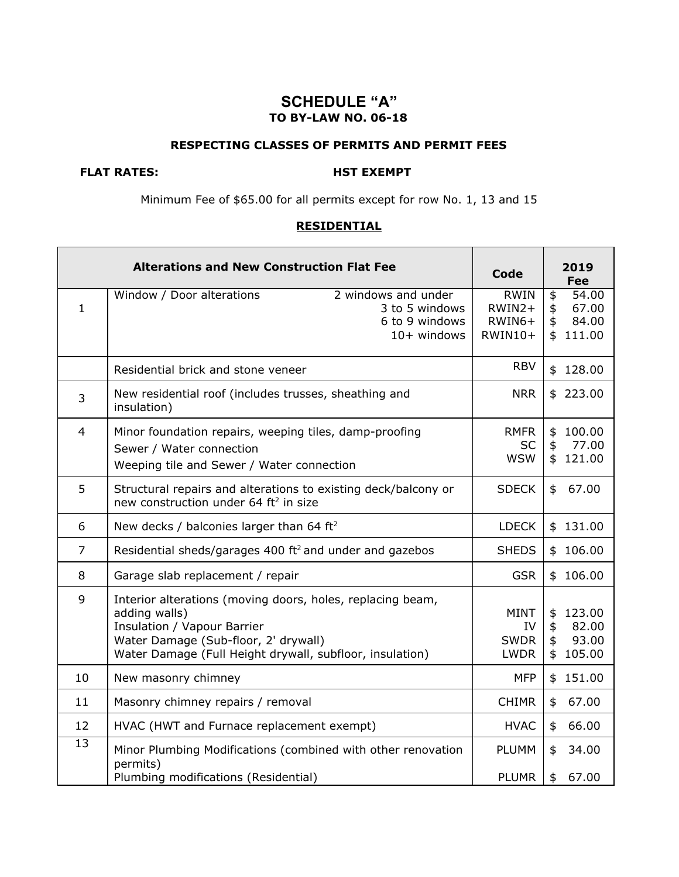# **SCHEDULE "A" TO BY-LAW NO. 06-18**

#### **RESPECTING CLASSES OF PERMITS AND PERMIT FEES**

### **FLAT RATES: HST EXEMPT**

٦

Minimum Fee of \$65.00 for all permits except for row No. 1, 13 and 15

#### **RESIDENTIAL**

|                 | <b>Alterations and New Construction Flat Fee</b>                                                                                                                                                               | <b>Code</b>                                     | 2019<br><b>Fee</b>                                                     |
|-----------------|----------------------------------------------------------------------------------------------------------------------------------------------------------------------------------------------------------------|-------------------------------------------------|------------------------------------------------------------------------|
| $\mathbf{1}$    | Window / Door alterations<br>2 windows and under<br>3 to 5 windows<br>6 to 9 windows<br>$10+$ windows                                                                                                          | <b>RWIN</b><br>$RWIN2+$<br>$RWIN6+$<br>RWIN10+  | $\overline{54.00}$<br>\$<br>\$<br>67.00<br>\$<br>84.00<br>\$<br>111.00 |
|                 | Residential brick and stone veneer                                                                                                                                                                             | <b>RBV</b>                                      | 128.00<br>\$                                                           |
| $\overline{3}$  | New residential roof (includes trusses, sheathing and<br>insulation)                                                                                                                                           | <b>NRR</b>                                      | \$223.00                                                               |
| $\overline{4}$  | Minor foundation repairs, weeping tiles, damp-proofing<br>Sewer / Water connection<br>Weeping tile and Sewer / Water connection                                                                                | <b>RMFR</b><br><b>SC</b><br><b>WSW</b>          | 100.00<br>\$<br>\$<br>77.00<br>121.00<br>\$                            |
| 5               | Structural repairs and alterations to existing deck/balcony or<br>new construction under 64 ft <sup>2</sup> in size                                                                                            | <b>SDECK</b>                                    | 67.00<br>\$                                                            |
| 6               | New decks / balconies larger than 64 ft <sup>2</sup>                                                                                                                                                           | <b>LDECK</b>                                    | 131.00<br>\$                                                           |
| $\overline{7}$  | Residential sheds/garages 400 ft <sup>2</sup> and under and gazebos                                                                                                                                            | <b>SHEDS</b>                                    | 106.00<br>\$                                                           |
| 8               | Garage slab replacement / repair                                                                                                                                                                               | <b>GSR</b>                                      | \$106.00                                                               |
| 9               | Interior alterations (moving doors, holes, replacing beam,<br>adding walls)<br>Insulation / Vapour Barrier<br>Water Damage (Sub-floor, 2' drywall)<br>Water Damage (Full Height drywall, subfloor, insulation) | <b>MINT</b><br>IV<br><b>SWDR</b><br><b>LWDR</b> | \$<br>123.00<br>\$<br>82.00<br>93.00<br>\$<br>105.00<br>\$             |
| 10              | New masonry chimney                                                                                                                                                                                            | <b>MFP</b>                                      | 151.00<br>\$                                                           |
| 11              | Masonry chimney repairs / removal                                                                                                                                                                              | <b>CHIMR</b>                                    | \$<br>67.00                                                            |
| 12              | HVAC (HWT and Furnace replacement exempt)                                                                                                                                                                      | <b>HVAC</b>                                     | 66.00<br>\$                                                            |
| $\overline{13}$ | Minor Plumbing Modifications (combined with other renovation<br>permits)<br>Plumbing modifications (Residential)                                                                                               | <b>PLUMM</b><br><b>PLUMR</b>                    | 34.00<br>\$<br>\$<br>67.00                                             |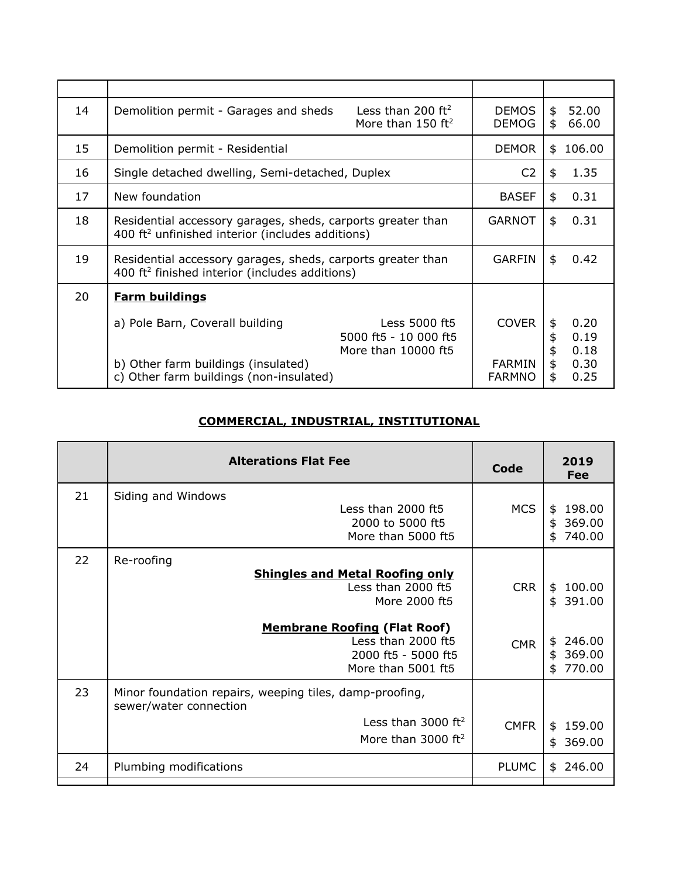| 14 | Demolition permit - Garages and sheds                                                                                       | Less than 200 $ft^2$<br>More than 150 $ft^2$                  | DEMOS<br><b>DEMOG</b>                          | \$<br>\$                   | 52.00<br>66.00                       |
|----|-----------------------------------------------------------------------------------------------------------------------------|---------------------------------------------------------------|------------------------------------------------|----------------------------|--------------------------------------|
| 15 | Demolition permit - Residential                                                                                             |                                                               | <b>DEMOR</b>                                   | \$                         | 106.00                               |
| 16 | Single detached dwelling, Semi-detached, Duplex                                                                             |                                                               | C <sub>2</sub>                                 | \$                         | 1.35                                 |
| 17 | New foundation                                                                                                              |                                                               | <b>BASEF</b>                                   | \$                         | 0.31                                 |
| 18 | Residential accessory garages, sheds, carports greater than<br>400 ft <sup>2</sup> unfinished interior (includes additions) |                                                               | <b>GARNOT</b>                                  | \$                         | 0.31                                 |
| 19 | Residential accessory garages, sheds, carports greater than<br>400 ft <sup>2</sup> finished interior (includes additions)   |                                                               | <b>GARFIN</b>                                  | \$                         | 0.42                                 |
| 20 | <b>Farm buildings</b>                                                                                                       |                                                               |                                                |                            |                                      |
|    | a) Pole Barn, Coverall building<br>b) Other farm buildings (insulated)<br>c) Other farm buildings (non-insulated)           | Less 5000 ft5<br>5000 ft5 - 10 000 ft5<br>More than 10000 ft5 | <b>COVER</b><br><b>FARMIN</b><br><b>FARMNO</b> | \$<br>\$<br>\$<br>\$<br>\$ | 0.20<br>0.19<br>0.18<br>0.30<br>0.25 |
|    |                                                                                                                             |                                                               |                                                |                            |                                      |

# **COMMERCIAL, INDUSTRIAL, INSTITUTIONAL**

|    | <b>Alterations Flat Fee</b>                                                                            | Code         | 2019<br>Fee                                  |
|----|--------------------------------------------------------------------------------------------------------|--------------|----------------------------------------------|
| 21 | Siding and Windows<br>Less than 2000 ft5<br>2000 to 5000 ft5<br>More than 5000 ft5                     | <b>MCS</b>   | 198.00<br>\$<br>\$<br>369.00<br>\$<br>740.00 |
| 22 | Re-roofing<br><b>Shingles and Metal Roofing only</b><br>Less than 2000 ft5<br>More 2000 ft5            | <b>CRR</b>   | 100.00<br>\$<br>\$<br>391.00                 |
|    | <b>Membrane Roofing (Flat Roof)</b><br>Less than 2000 ft5<br>2000 ft5 - 5000 ft5<br>More than 5001 ft5 | <b>CMR</b>   | 246.00<br>\$<br>\$<br>369.00<br>770.00<br>\$ |
| 23 | Minor foundation repairs, weeping tiles, damp-proofing,<br>sewer/water connection                      |              |                                              |
|    | Less than 3000 $ft2$<br>More than 3000 $ft2$                                                           | <b>CMFR</b>  | 159.00<br>\$<br>369.00<br>\$                 |
| 24 | Plumbing modifications                                                                                 | <b>PLUMC</b> | 246.00<br>\$                                 |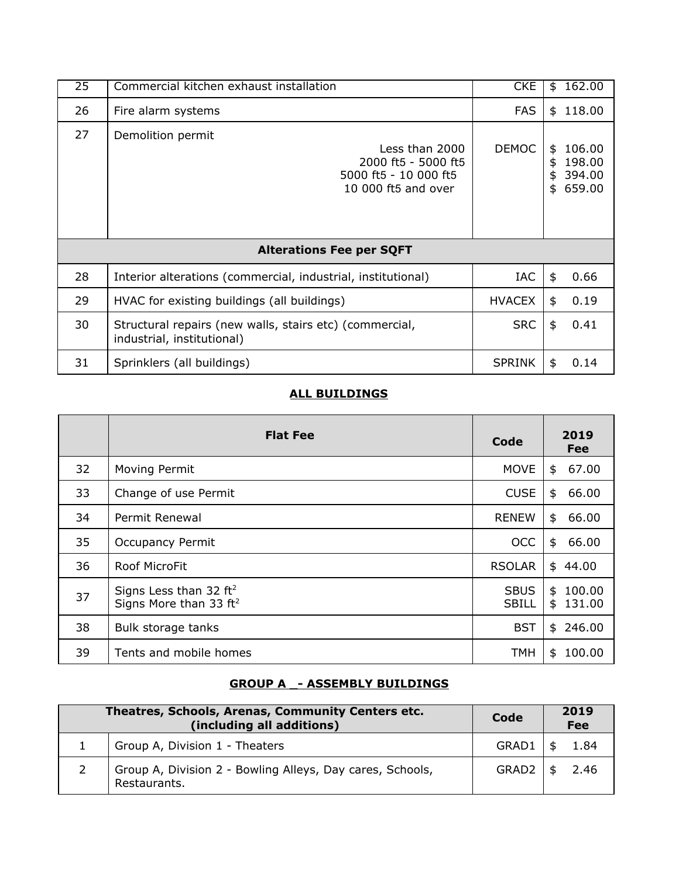| 25 | Commercial kitchen exhaust installation                                                                    | <b>CKE</b>    | \$                   | 162.00                               |
|----|------------------------------------------------------------------------------------------------------------|---------------|----------------------|--------------------------------------|
| 26 | Fire alarm systems                                                                                         | <b>FAS</b>    | \$                   | 118.00                               |
| 27 | Demolition permit<br>Less than 2000<br>2000 ft5 - 5000 ft5<br>5000 ft5 - 10 000 ft5<br>10 000 ft5 and over | <b>DEMOC</b>  | \$<br>\$<br>\$<br>\$ | 106.00<br>198.00<br>394.00<br>659.00 |
|    | <b>Alterations Fee per SQFT</b>                                                                            |               |                      |                                      |
| 28 | Interior alterations (commercial, industrial, institutional)                                               | <b>IAC</b>    | $\frac{4}{5}$        | 0.66                                 |
| 29 | HVAC for existing buildings (all buildings)                                                                | <b>HVACEX</b> | \$                   | 0.19                                 |
| 30 | Structural repairs (new walls, stairs etc) (commercial,<br>industrial, institutional)                      | <b>SRC</b>    | \$                   | 0.41                                 |
| 31 | Sprinklers (all buildings)                                                                                 | <b>SPRINK</b> | \$                   | 0.14                                 |

#### **ALL BUILDINGS**

|    | <b>Flat Fee</b>                                                | Code                        | 2019<br><b>Fee</b>           |
|----|----------------------------------------------------------------|-----------------------------|------------------------------|
| 32 | Moving Permit                                                  | MOVE                        | 67.00<br>\$                  |
| 33 | Change of use Permit                                           | <b>CUSE</b>                 | \$<br>66.00                  |
| 34 | Permit Renewal                                                 | <b>RENEW</b>                | \$<br>66.00                  |
| 35 | <b>Occupancy Permit</b>                                        | <b>OCC</b>                  | \$<br>66.00                  |
| 36 | Roof MicroFit                                                  | <b>RSOLAR</b>               | \$44.00                      |
| 37 | Signs Less than 32 $ft2$<br>Signs More than 33 ft <sup>2</sup> | <b>SBUS</b><br><b>SBILL</b> | 100.00<br>\$<br>\$<br>131.00 |
| 38 | Bulk storage tanks                                             | <b>BST</b>                  | 246.00<br>\$                 |
| 39 | Tents and mobile homes                                         | <b>TMH</b>                  | 100.00<br>\$                 |

# **GROUP A \_- ASSEMBLY BUILDINGS**

| Theatres, Schools, Arenas, Community Centers etc.<br>(including all additions) | Code         | 2019<br>Fee |
|--------------------------------------------------------------------------------|--------------|-------------|
| Group A, Division 1 - Theaters                                                 | GRAD1        | 1.84        |
| Group A, Division 2 - Bowling Alleys, Day cares, Schools,<br>Restaurants.      | $GRAD2$   \$ | 2.46        |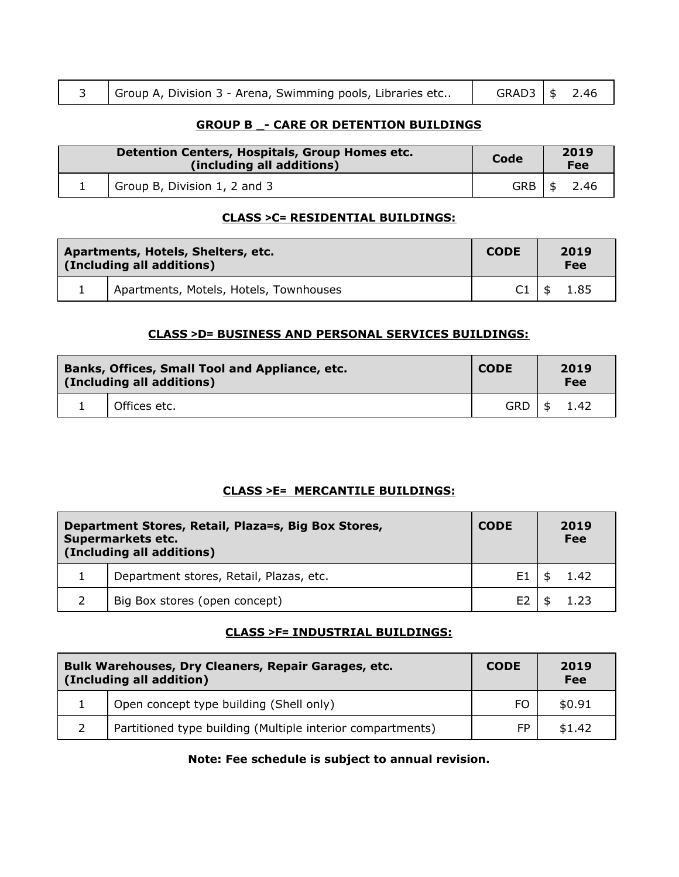|  | Group A, Division 3 - Arena, Swimming pools, Libraries etc |  | $GRAD3$ $\mid$ \$ 2.46 |
|--|------------------------------------------------------------|--|------------------------|
|--|------------------------------------------------------------|--|------------------------|

#### **GROUP B \_- CARE OR DETENTION BUILDINGS**

| Detention Centers, Hospitals, Group Homes etc.<br>(including all additions) | Code       | 2019<br>Fee |
|-----------------------------------------------------------------------------|------------|-------------|
| Group B, Division 1, 2 and 3                                                | <b>GRB</b> | 2.46        |

#### **CLASS >C= RESIDENTIAL BUILDINGS:**

| Apartments, Hotels, Shelters, etc.<br>(Including all additions) |                                        | <b>CODE</b>    | 2019<br>Fee  |
|-----------------------------------------------------------------|----------------------------------------|----------------|--------------|
|                                                                 | Apartments, Motels, Hotels, Townhouses | C <sub>1</sub> | 1.85<br>- \$ |

#### **CLASS >D= BUSINESS AND PERSONAL SERVICES BUILDINGS:**

| Banks, Offices, Small Tool and Appliance, etc.<br>(Including all additions) |              | <b>CODE</b> | 2019<br>Fee |
|-----------------------------------------------------------------------------|--------------|-------------|-------------|
|                                                                             | Offices etc. | <b>GRD</b>  | 1.42<br>\$  |

#### **CLASS >E= MERCANTILE BUILDINGS:**

| Department Stores, Retail, Plaza=s, Big Box Stores,<br>Supermarkets etc.<br>(Including all additions) |                                         | <b>CODE</b>    | 2019<br>Fee |
|-------------------------------------------------------------------------------------------------------|-----------------------------------------|----------------|-------------|
|                                                                                                       | Department stores, Retail, Plazas, etc. | E1             | 1.42        |
|                                                                                                       | Big Box stores (open concept)           | E <sub>2</sub> | 1.23        |

### **CLASS >F= INDUSTRIAL BUILDINGS:**

| Bulk Warehouses, Dry Cleaners, Repair Garages, etc.<br>(Including all addition) | <b>CODE</b> | 2019<br>Fee |
|---------------------------------------------------------------------------------|-------------|-------------|
| Open concept type building (Shell only)                                         | FO.         | \$0.91      |
| Partitioned type building (Multiple interior compartments)                      | FP          | \$1.42      |

## **Note: Fee schedule is subject to annual revision.**